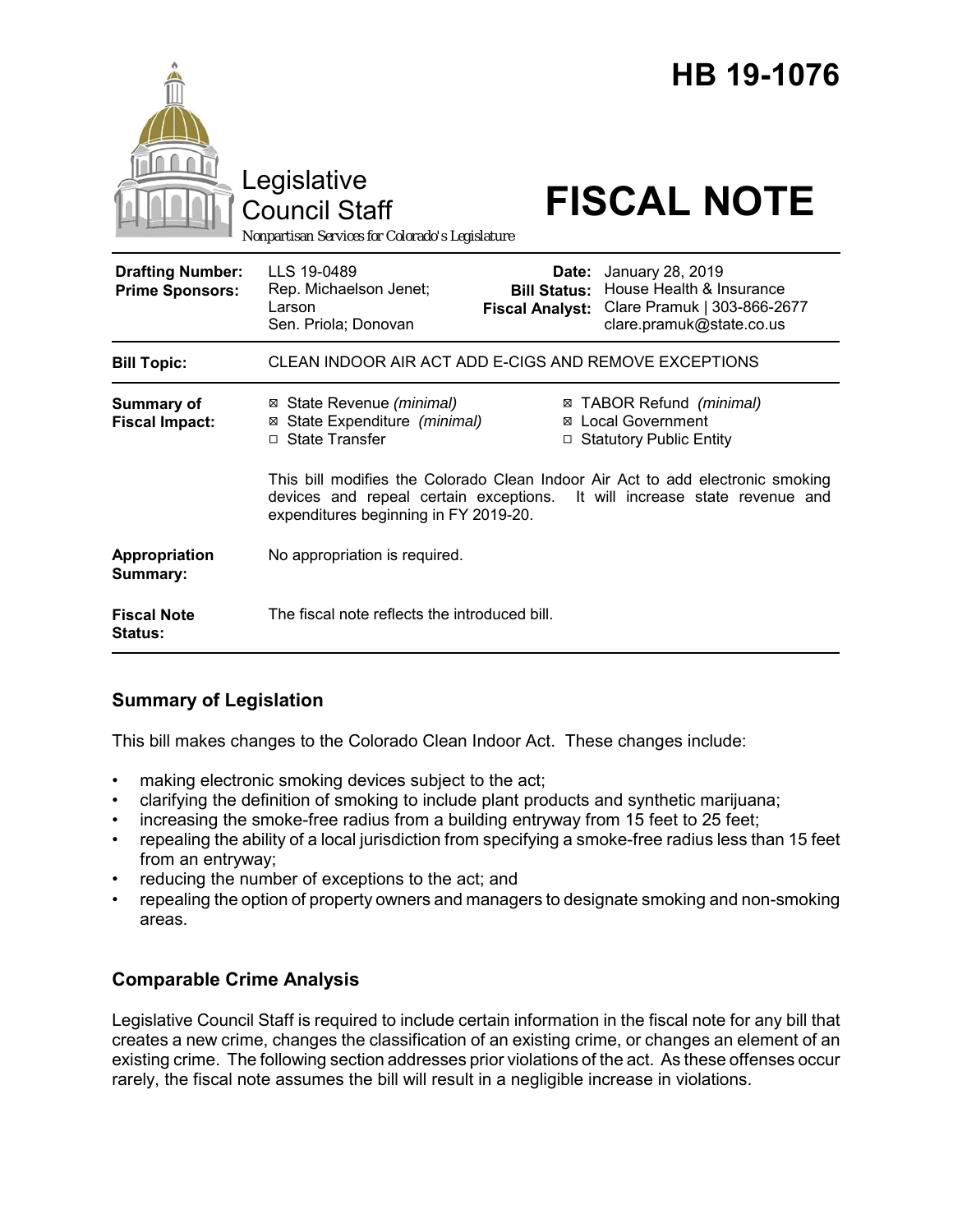|                                                   | HB 19-1076<br>Legislative<br><b>FISCAL NOTE</b><br><b>Council Staff</b><br>Nonpartisan Services for Colorado's Legislature                                                                                                                                                                                                      |
|---------------------------------------------------|---------------------------------------------------------------------------------------------------------------------------------------------------------------------------------------------------------------------------------------------------------------------------------------------------------------------------------|
| <b>Drafting Number:</b><br><b>Prime Sponsors:</b> | LLS 19-0489<br>January 28, 2019<br>Date:<br>House Health & Insurance<br>Rep. Michaelson Jenet;<br><b>Bill Status:</b><br>Clare Pramuk   303-866-2677<br>Larson<br><b>Fiscal Analyst:</b><br>Sen. Priola; Donovan<br>clare.pramuk@state.co.us                                                                                    |
| <b>Bill Topic:</b>                                | CLEAN INDOOR AIR ACT ADD E-CIGS AND REMOVE EXCEPTIONS                                                                                                                                                                                                                                                                           |
| <b>Summary of</b><br><b>Fiscal Impact:</b>        | ⊠ State Revenue (minimal)<br>⊠ TABOR Refund (minimal)<br>⊠ Local Government<br>State Expenditure (minimal)<br>$\Box$ State Transfer<br>□ Statutory Public Entity<br>This bill modifies the Colorado Clean Indoor Air Act to add electronic smoking<br>devices and repeal certain exceptions. It will increase state revenue and |
| Appropriation<br>Summary:                         | expenditures beginning in FY 2019-20.<br>No appropriation is required.                                                                                                                                                                                                                                                          |
| <b>Fiscal Note</b><br><b>Status:</b>              | The fiscal note reflects the introduced bill.                                                                                                                                                                                                                                                                                   |

# **Summary of Legislation**

This bill makes changes to the Colorado Clean Indoor Act. These changes include:

- making electronic smoking devices subject to the act;
- clarifying the definition of smoking to include plant products and synthetic marijuana;
- increasing the smoke-free radius from a building entryway from 15 feet to 25 feet;
- repealing the ability of a local jurisdiction from specifying a smoke-free radius less than 15 feet from an entryway;
- reducing the number of exceptions to the act; and
- repealing the option of property owners and managers to designate smoking and non-smoking areas.

# **Comparable Crime Analysis**

Legislative Council Staff is required to include certain information in the fiscal note for any bill that creates a new crime, changes the classification of an existing crime, or changes an element of an existing crime. The following section addresses prior violations of the act. As these offenses occur rarely, the fiscal note assumes the bill will result in a negligible increase in violations.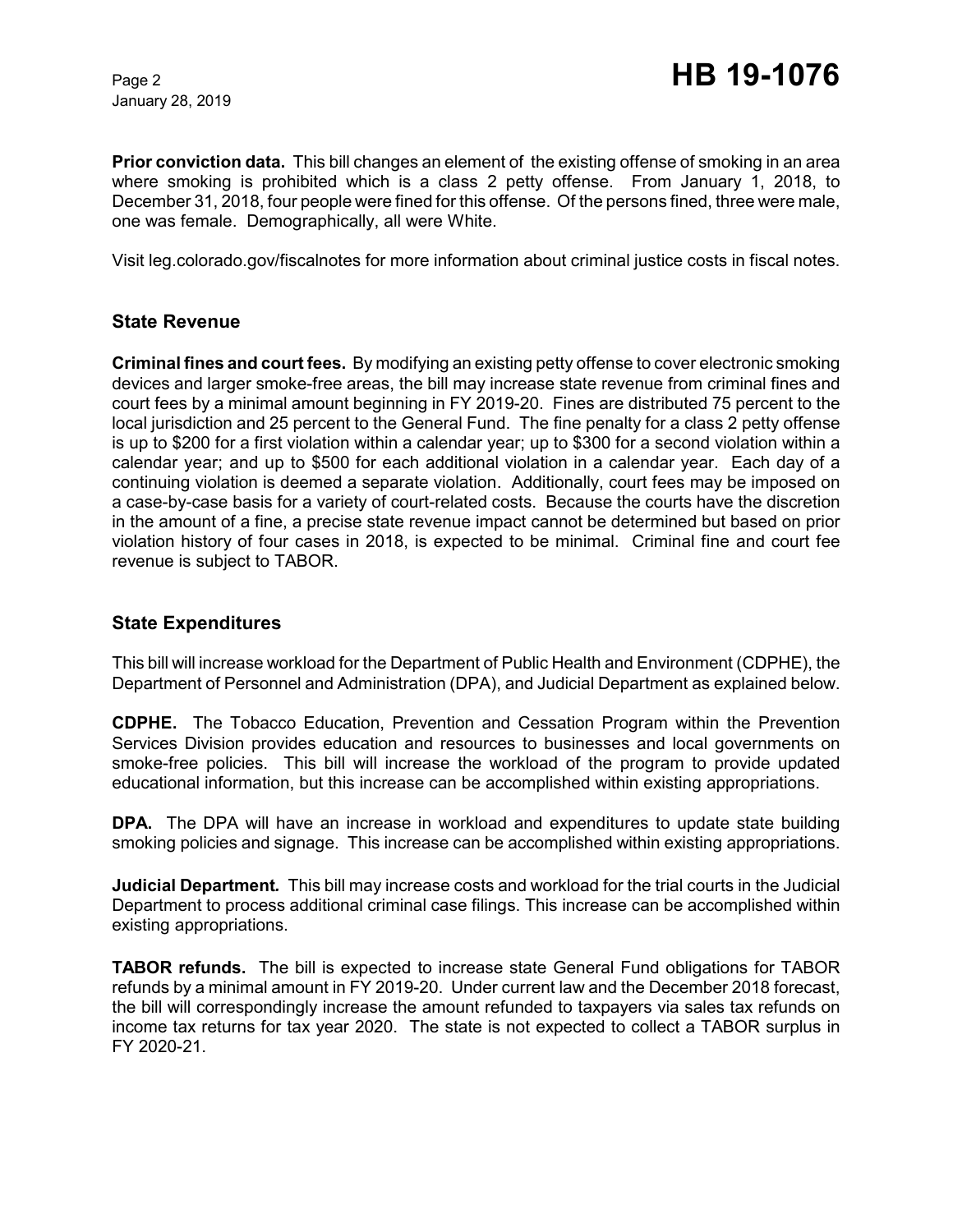January 28, 2019

**Prior conviction data.** This bill changes an element of the existing offense of smoking in an area where smoking is prohibited which is a class 2 petty offense. From January 1, 2018, to December 31, 2018, four people were fined for this offense. Of the persons fined, three were male, one was female. Demographically, all were White.

Visit leg.colorado.gov/fiscalnotes for more information about criminal justice costs in fiscal notes.

#### **State Revenue**

**Criminal fines and court fees.** By modifying an existing petty offense to cover electronic smoking devices and larger smoke-free areas, the bill may increase state revenue from criminal fines and court fees by a minimal amount beginning in FY 2019-20. Fines are distributed 75 percent to the local jurisdiction and 25 percent to the General Fund. The fine penalty for a class 2 petty offense is up to \$200 for a first violation within a calendar year; up to \$300 for a second violation within a calendar year; and up to \$500 for each additional violation in a calendar year. Each day of a continuing violation is deemed a separate violation. Additionally, court fees may be imposed on a case-by-case basis for a variety of court-related costs. Because the courts have the discretion in the amount of a fine, a precise state revenue impact cannot be determined but based on prior violation history of four cases in 2018, is expected to be minimal. Criminal fine and court fee revenue is subject to TABOR.

#### **State Expenditures**

This bill will increase workload for the Department of Public Health and Environment (CDPHE), the Department of Personnel and Administration (DPA), and Judicial Department as explained below.

**CDPHE.** The Tobacco Education, Prevention and Cessation Program within the Prevention Services Division provides education and resources to businesses and local governments on smoke-free policies. This bill will increase the workload of the program to provide updated educational information, but this increase can be accomplished within existing appropriations.

**DPA.** The DPA will have an increase in workload and expenditures to update state building smoking policies and signage. This increase can be accomplished within existing appropriations.

**Judicial Department***.* This bill may increase costs and workload for the trial courts in the Judicial Department to process additional criminal case filings. This increase can be accomplished within existing appropriations.

**TABOR refunds.** The bill is expected to increase state General Fund obligations for TABOR refunds by a minimal amount in FY 2019-20. Under current law and the December 2018 forecast, the bill will correspondingly increase the amount refunded to taxpayers via sales tax refunds on income tax returns for tax year 2020. The state is not expected to collect a TABOR surplus in FY 2020-21.